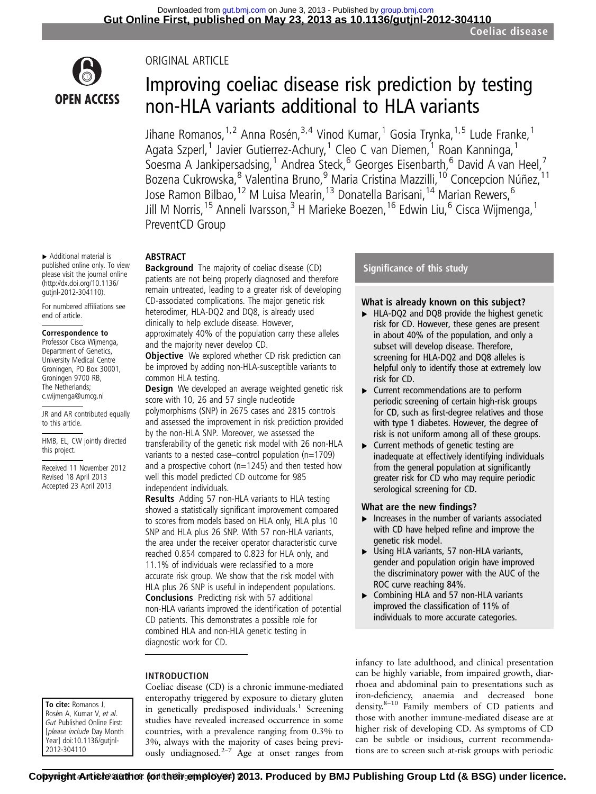

▸ Additional material is published online only. To view please visit the journal online [\(http://dx.doi.org/10.1136/](http://dx.doi.org/10.1136/gutjnl-2012-304110) [gutjnl-2012-304110](http://dx.doi.org/10.1136/gutjnl-2012-304110)). For numbered affiliations see

end of article.

to this article.

this project.

Correspondence to Professor Cisca Wijmenga, Department of Genetics, University Medical Centre Groningen, PO Box 30001, Groningen 9700 RB, The Netherlands; c.wijmenga@umcg.nl

JR and AR contributed equally

HMB, EL, CW jointly directed

Received 11 November 2012 Revised 18 April 2013 Accepted 23 April 2013

## ORIGINAL ARTICLE

# Improving coeliac disease risk prediction by testing non-HLA variants additional to HLA variants

Jihane Romanos, <sup>1,2</sup> Anna Rosén, <sup>3,4</sup> Vinod Kumar, <sup>1</sup> Gosia Trynka, <sup>1,5</sup> Lude Franke, <sup>1</sup> Agata Szperl,<sup>1</sup> Javier Gutierrez-Achury,<sup>1</sup> Cleo C van Diemen,<sup>1</sup> Roan Kanninga,<sup>1</sup> Soesma A Jankipersadsing,<sup>1</sup> Andrea Steck,<sup>6</sup> Georges Eisenbarth,<sup>6</sup> David A van Heel,<sup>7</sup> Bozena Cukrowska, <sup>8</sup> Valentina Bruno, <sup>9</sup> Maria Cristina Mazzilli, <sup>10</sup> Concepcion Núñez, <sup>11</sup> Jose Ramon Bilbao,<sup>12</sup> M Luisa Mearin,<sup>13</sup> Donatella Barisani,<sup>14</sup> Marian Rewers,<sup>6</sup> Jill M Norris,<sup>15</sup> Anneli Ivarsson,<sup>3</sup> H Marieke Boezen,<sup>16</sup> Edwin Liu,<sup>6</sup> Cisca Wijmenga,<sup>1</sup> PreventCD Group

## ABSTRACT

Background The majority of coeliac disease (CD) patients are not being properly diagnosed and therefore remain untreated, leading to a greater risk of developing CD-associated complications. The major genetic risk heterodimer, HLA-DQ2 and DQ8, is already used clinically to help exclude disease. However, approximately 40% of the population carry these alleles

and the majority never develop CD.

**Objective** We explored whether CD risk prediction can be improved by adding non-HLA-susceptible variants to common HLA testing.

**Design** We developed an average weighted genetic risk score with 10, 26 and 57 single nucleotide polymorphisms (SNP) in 2675 cases and 2815 controls and assessed the improvement in risk prediction provided by the non-HLA SNP. Moreover, we assessed the transferability of the genetic risk model with 26 non-HLA variants to a nested case–control population (n=1709) and a prospective cohort ( $n=1245$ ) and then tested how well this model predicted CD outcome for 985 independent individuals.

Results Adding 57 non-HLA variants to HLA testing showed a statistically significant improvement compared to scores from models based on HLA only, HLA plus 10 SNP and HLA plus 26 SNP. With 57 non-HLA variants, the area under the receiver operator characteristic curve reached 0.854 compared to 0.823 for HLA only, and 11.1% of individuals were reclassified to a more accurate risk group. We show that the risk model with HLA plus 26 SNP is useful in independent populations. Conclusions Predicting risk with 57 additional non-HLA variants improved the identification of potential CD patients. This demonstrates a possible role for combined HLA and non-HLA genetic testing in diagnostic work for CD.

## INTRODUCTION

#### To cite: Romanos J, Rosén A, Kumar V, et al. Gut Published Online First: [please include Day Month Year] doi:10.1136/gutjnl-2012-304110

Coeliac disease (CD) is a chronic immune-mediated enteropathy triggered by exposure to dietary gluten in genetically predisposed individuals.<sup>1</sup> Screening studies have revealed increased occurrence in some countries, with a prevalence ranging from 0.3% to 3%, always with the majority of cases being previously undiagnosed.2–<sup>7</sup> Age at onset ranges from

## Significance of this study

## What is already known on this subject?

- ▸ HLA-DQ2 and DQ8 provide the highest genetic risk for CD. However, these genes are present in about 40% of the population, and only a subset will develop disease. Therefore, screening for HLA-DQ2 and DQ8 alleles is helpful only to identify those at extremely low risk for CD.
- ▸ Current recommendations are to perform periodic screening of certain high-risk groups for CD, such as first-degree relatives and those with type 1 diabetes. However, the degree of risk is not uniform among all of these groups.
- ▸ Current methods of genetic testing are inadequate at effectively identifying individuals from the general population at significantly greater risk for CD who may require periodic serological screening for CD.

### What are the new findings?

- $\blacktriangleright$  Increases in the number of variants associated with CD have helped refine and improve the genetic risk model.
- ▶ Using HLA variants, 57 non-HLA variants, gender and population origin have improved the discriminatory power with the AUC of the ROC curve reaching 84%.
- ▸ Combining HLA and 57 non-HLA variants improved the classification of 11% of individuals to more accurate categories.

infancy to late adulthood, and clinical presentation can be highly variable, from impaired growth, diarrhoea and abdominal pain to presentations such as iron-deficiency, anaemia and decreased bone density.8–<sup>10</sup> Family members of CD patients and those with another immune-mediated disease are at higher risk of developing CD. As symptoms of CD can be subtle or insidious, current recommendations are to screen such at-risk groups with periodic

Romanos J, et al. Gut 2013;0:1–8. doi:10.1136/gutjnl-2012-304110 1 **Copyright Article author (or their employer) 2013. Produced by BMJ Publishing Group Ltd (& BSG) under licence.**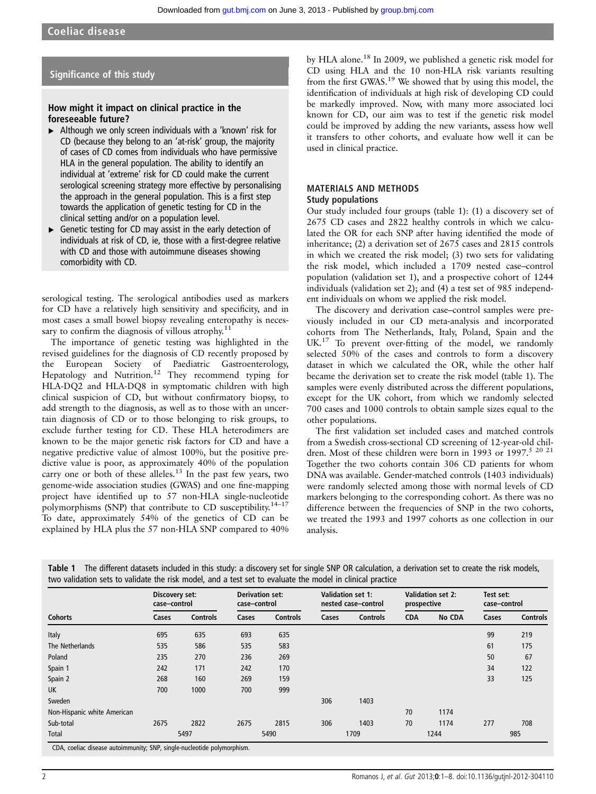## Significance of this study

## How might it impact on clinical practice in the foreseeable future?

- ▶ Although we only screen individuals with a 'known' risk for CD (because they belong to an 'at-risk' group, the majority of cases of CD comes from individuals who have permissive HLA in the general population. The ability to identify an individual at 'extreme' risk for CD could make the current serological screening strategy more effective by personalising the approach in the general population. This is a first step towards the application of genetic testing for CD in the clinical setting and/or on a population level.
- Genetic testing for CD may assist in the early detection of individuals at risk of CD, ie, those with a first-degree relative with CD and those with autoimmune diseases showing comorbidity with CD.

serological testing. The serological antibodies used as markers for CD have a relatively high sensitivity and specificity, and in most cases a small bowel biopsy revealing enteropathy is necessary to confirm the diagnosis of villous atrophy. $11$ 

The importance of genetic testing was highlighted in the revised guidelines for the diagnosis of CD recently proposed by the European Society of Paediatric Gastroenterology, Hepatology and Nutrition.<sup>12</sup> They recommend typing for HLA-DQ2 and HLA-DQ8 in symptomatic children with high clinical suspicion of CD, but without confirmatory biopsy, to add strength to the diagnosis, as well as to those with an uncertain diagnosis of CD or to those belonging to risk groups, to exclude further testing for CD. These HLA heterodimers are known to be the major genetic risk factors for CD and have a negative predictive value of almost 100%, but the positive predictive value is poor, as approximately 40% of the population carry one or both of these alleles.<sup>13</sup> In the past few years, two genome-wide association studies (GWAS) and one fine-mapping project have identified up to 57 non-HLA single-nucleotide polymorphisms (SNP) that contribute to CD susceptibility.<sup>14-17</sup> To date, approximately 54% of the genetics of CD can be explained by HLA plus the 57 non-HLA SNP compared to 40%

by HLA alone.<sup>18</sup> In 2009, we published a genetic risk model for CD using HLA and the 10 non-HLA risk variants resulting from the first GWAS.<sup>19</sup> We showed that by using this model, the identification of individuals at high risk of developing CD could be markedly improved. Now, with many more associated loci known for CD, our aim was to test if the genetic risk model could be improved by adding the new variants, assess how well it transfers to other cohorts, and evaluate how well it can be used in clinical practice.

#### MATERIALS AND METHODS Study populations

Our study included four groups (table 1): (1) a discovery set of 2675 CD cases and 2822 healthy controls in which we calculated the OR for each SNP after having identified the mode of inheritance; (2) a derivation set of 2675 cases and 2815 controls in which we created the risk model; (3) two sets for validating the risk model, which included a 1709 nested case–control population (validation set 1), and a prospective cohort of 1244 individuals (validation set 2); and (4) a test set of 985 independent individuals on whom we applied the risk model.

The discovery and derivation case–control samples were previously included in our CD meta-analysis and incorporated cohorts from The Netherlands, Italy, Poland, Spain and the UK.<sup>17</sup> To prevent over-fitting of the model, we randomly selected 50% of the cases and controls to form a discovery dataset in which we calculated the OR, while the other half became the derivation set to create the risk model (table 1). The samples were evenly distributed across the different populations, except for the UK cohort, from which we randomly selected 700 cases and 1000 controls to obtain sample sizes equal to the other populations.

The first validation set included cases and matched controls from a Swedish cross-sectional CD screening of 12-year-old children. Most of these children were born in 1993 or 1997.<sup>5 20 21</sup> Together the two cohorts contain 306 CD patients for whom DNA was available. Gender-matched controls (1403 individuals) were randomly selected among those with normal levels of CD markers belonging to the corresponding cohort. As there was no difference between the frequencies of SNP in the two cohorts, we treated the 1993 and 1997 cohorts as one collection in our analysis.

|                             | Discovery set:<br>case-control |                 | <b>Derivation set:</b><br>case-control |                 | <b>Validation set 1:</b> | nested case-control | prospective | <b>Validation set 2:</b> | Test set:<br>case-control |                 |
|-----------------------------|--------------------------------|-----------------|----------------------------------------|-----------------|--------------------------|---------------------|-------------|--------------------------|---------------------------|-----------------|
| <b>Cohorts</b>              | Cases                          | <b>Controls</b> | Cases                                  | <b>Controls</b> | Cases                    | <b>Controls</b>     | <b>CDA</b>  | <b>No CDA</b>            | Cases                     | <b>Controls</b> |
| Italy                       | 695                            | 635             | 693                                    | 635             |                          |                     |             |                          | 99                        | 219             |
| The Netherlands             | 535                            | 586             | 535                                    | 583             |                          |                     |             |                          | 61                        | 175             |
| Poland                      | 235                            | 270             | 236                                    | 269             |                          |                     |             |                          | 50                        | 67              |
| Spain 1                     | 242                            | 171             | 242                                    | 170             |                          |                     |             |                          | 34                        | 122             |
| Spain 2                     | 268                            | 160             | 269                                    | 159             |                          |                     |             |                          | 33                        | 125             |
| <b>UK</b>                   | 700                            | 1000            | 700                                    | 999             |                          |                     |             |                          |                           |                 |
| Sweden                      |                                |                 |                                        |                 | 306                      | 1403                |             |                          |                           |                 |
| Non-Hispanic white American |                                |                 |                                        |                 |                          |                     | 70          | 1174                     |                           |                 |
| Sub-total                   | 2675                           | 2822            | 2675                                   | 2815            | 306                      | 1403                | 70          | 1174                     | 277                       | 708             |
| Total                       | 5497                           |                 | 5490                                   |                 | 1709                     |                     | 1244        |                          | 985                       |                 |

Table 1 The different datasets included in this study: a discovery set for single SNP OR calculation, a derivation set to create the risk models, two validation sets to validate the risk model, and a test set to evaluate the model in clinical practice

CDA, coeliac disease autoimmunity; SNP, single-nucleotide polymorphism.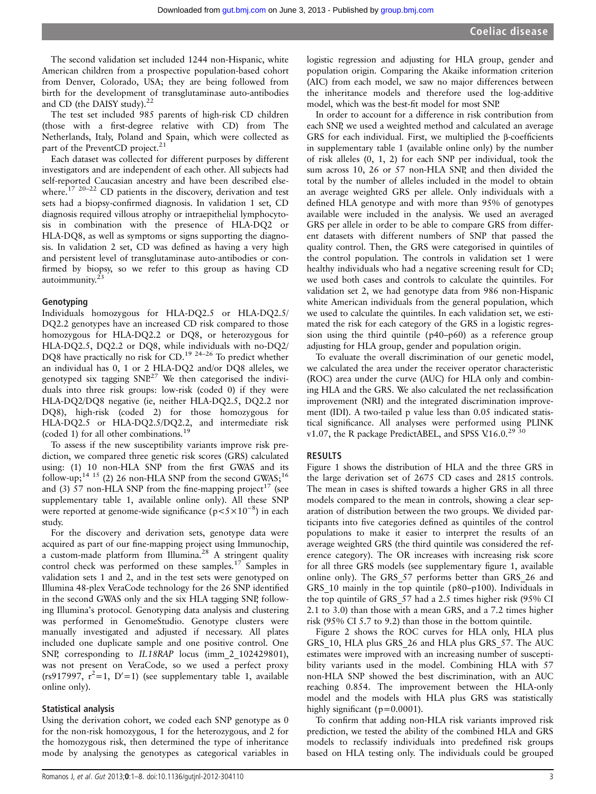The second validation set included 1244 non-Hispanic, white American children from a prospective population-based cohort from Denver, Colorado, USA; they are being followed from birth for the development of transglutaminase auto-antibodies and CD (the DAISY study).<sup>22</sup>

The test set included 985 parents of high-risk CD children (those with a first-degree relative with CD) from The Netherlands, Italy, Poland and Spain, which were collected as part of the PreventCD project.<sup>21</sup>

Each dataset was collected for different purposes by different investigators and are independent of each other. All subjects had self-reported Caucasian ancestry and have been described elsewhere.<sup>17 20-22</sup> CD patients in the discovery, derivation and test sets had a biopsy-confirmed diagnosis. In validation 1 set, CD diagnosis required villous atrophy or intraepithelial lymphocytosis in combination with the presence of HLA-DQ2 or HLA-DQ8, as well as symptoms or signs supporting the diagnosis. In validation 2 set, CD was defined as having a very high and persistent level of transglutaminase auto-antibodies or confirmed by biopsy, so we refer to this group as having CD autoimmunity. $23$ 

#### Genotyping

Individuals homozygous for HLA-DQ2.5 or HLA-DQ2.5/ DQ2.2 genotypes have an increased CD risk compared to those homozygous for HLA-DQ2.2 or DQ8, or heterozygous for HLA-DQ2.5, DQ2.2 or DQ8, while individuals with no-DQ2/ DQ8 have practically no risk for CD.<sup>19 24–26</sup> To predict whether an individual has 0, 1 or 2 HLA-DQ2 and/or DQ8 alleles, we genotyped six tagging  $SNP^{27}$  We then categorised the individuals into three risk groups: low-risk (coded 0) if they were HLA-DQ2/DQ8 negative (ie, neither HLA-DQ2.5, DQ2.2 nor DQ8), high-risk (coded 2) for those homozygous for HLA-DQ2.5 or HLA-DQ2.5/DQ2.2, and intermediate risk (coded 1) for all other combinations.<sup>19</sup>

To assess if the new susceptibility variants improve risk prediction, we compared three genetic risk scores (GRS) calculated using: (1) 10 non-HLA SNP from the first GWAS and its follow-up;<sup>14 15</sup> (2) 26 non-HLA SNP from the second GWAS;<sup>16</sup> and (3) 57 non-HLA SNP from the fine-mapping project<sup>17</sup> (see [supplementary table](http://gut.bmj.com/lookup/suppl/doi:10.1136/gutjnl-2012-304110/-/DC1) 1, available online only). All these SNP were reported at genome-wide significance (p <5 × 10<sup>-8</sup>) in each study.

For the discovery and derivation sets, genotype data were acquired as part of our fine-mapping project using Immunochip, a custom-made platform from Illumina.<sup>28</sup> A stringent quality control check was performed on these samples.<sup>17</sup> Samples in validation sets 1 and 2, and in the test sets were genotyped on Illumina 48-plex VeraCode technology for the 26 SNP identified in the second GWAS only and the six HLA tagging SNP, following Illumina's protocol. Genotyping data analysis and clustering was performed in GenomeStudio. Genotype clusters were manually investigated and adjusted if necessary. All plates included one duplicate sample and one positive control. One SNP, corresponding to IL18RAP locus (imm 2 102429801), was not present on VeraCode, so we used a perfect proxy (rs917997,  $r^2=1$ , D'=1) (see [supplementary table](http://gut.bmj.com/lookup/suppl/doi:10.1136/gutjnl-2012-304110/-/DC1) 1, available online only).

#### Statistical analysis

Using the derivation cohort, we coded each SNP genotype as 0 for the non-risk homozygous, 1 for the heterozygous, and 2 for the homozygous risk, then determined the type of inheritance mode by analysing the genotypes as categorical variables in

logistic regression and adjusting for HLA group, gender and population origin. Comparing the Akaike information criterion (AIC) from each model, we saw no major differences between the inheritance models and therefore used the log-additive model, which was the best-fit model for most SNP.

In order to account for a difference in risk contribution from each SNP, we used a weighted method and calculated an average GRS for each individual. First, we multiplied the β-coefficients in [supplementary table](http://gut.bmj.com/lookup/suppl/doi:10.1136/gutjnl-2012-304110/-/DC1) 1 (available online only) by the number of risk alleles (0, 1, 2) for each SNP per individual, took the sum across 10, 26 or 57 non-HLA SNP, and then divided the total by the number of alleles included in the model to obtain an average weighted GRS per allele. Only individuals with a defined HLA genotype and with more than 95% of genotypes available were included in the analysis. We used an averaged GRS per allele in order to be able to compare GRS from different datasets with different numbers of SNP that passed the quality control. Then, the GRS were categorised in quintiles of the control population. The controls in validation set 1 were healthy individuals who had a negative screening result for CD; we used both cases and controls to calculate the quintiles. For validation set 2, we had genotype data from 986 non-Hispanic white American individuals from the general population, which we used to calculate the quintiles. In each validation set, we estimated the risk for each category of the GRS in a logistic regression using the third quintile (p40–p60) as a reference group adjusting for HLA group, gender and population origin.

To evaluate the overall discrimination of our genetic model, we calculated the area under the receiver operator characteristic (ROC) area under the curve (AUC) for HLA only and combining HLA and the GRS. We also calculated the net reclassification improvement (NRI) and the integrated discrimination improvement (IDI). A two-tailed p value less than 0.05 indicated statistical significance. All analyses were performed using PLINK v1.07, the R package PredictABEL, and SPSS V.16.0.<sup>29 30</sup>

#### RESULTS

Figure 1 shows the distribution of HLA and the three GRS in the large derivation set of 2675 CD cases and 2815 controls. The mean in cases is shifted towards a higher GRS in all three models compared to the mean in controls, showing a clear separation of distribution between the two groups. We divided participants into five categories defined as quintiles of the control populations to make it easier to interpret the results of an average weighted GRS (the third quintile was considered the reference category). The OR increases with increasing risk score for all three GRS models (see [supplementary](http://gut.bmj.com/lookup/suppl/doi:10.1136/gutjnl-2012-304110/-/DC1) figure 1, available online only). The GRS\_57 performs better than GRS\_26 and GRS 10 mainly in the top quintile (p80–p100). Individuals in the top quintile of GRS\_57 had a 2.5 times higher risk (95% CI 2.1 to 3.0) than those with a mean GRS, and a 7.2 times higher risk (95% CI 5.7 to 9.2) than those in the bottom quintile.

Figure 2 shows the ROC curves for HLA only, HLA plus GRS\_10, HLA plus GRS\_26 and HLA plus GRS\_57. The AUC estimates were improved with an increasing number of susceptibility variants used in the model. Combining HLA with 57 non-HLA SNP showed the best discrimination, with an AUC reaching 0.854. The improvement between the HLA-only model and the models with HLA plus GRS was statistically highly significant ( $p=0.0001$ ).

To confirm that adding non-HLA risk variants improved risk prediction, we tested the ability of the combined HLA and GRS models to reclassify individuals into predefined risk groups based on HLA testing only. The individuals could be grouped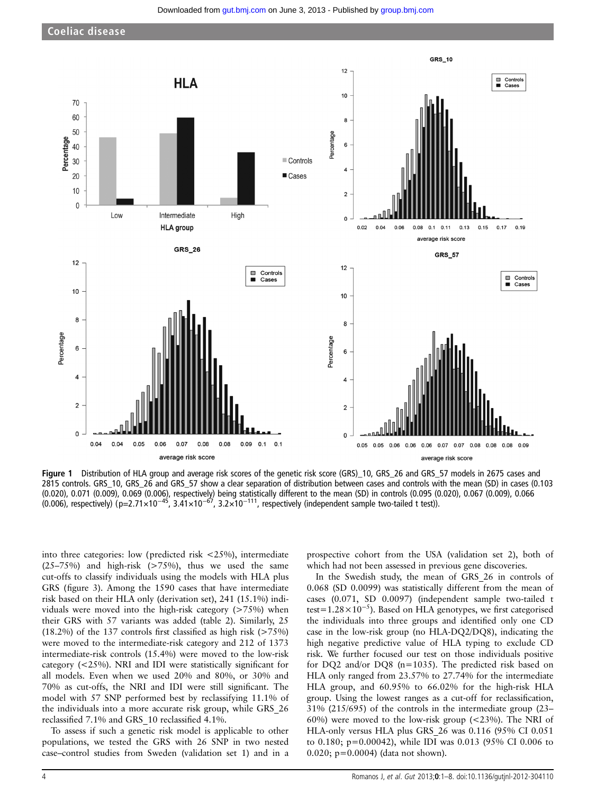

Figure 1 Distribution of HLA group and average risk scores of the genetic risk score (GRS) 10, GRS 26 and GRS 57 models in 2675 cases and 2815 controls. GRS\_10, GRS\_26 and GRS\_57 show a clear separation of distribution between cases and controls with the mean (SD) in cases (0.103 (0.020), 0.071 (0.009), 0.069 (0.006), respectively) being statistically different to the mean (SD) in controls (0.095 (0.020), 0.067 (0.009), 0.066 (0.006), respectively) (p=2.71×10<sup>-45</sup>, 3.41×10<sup>-67</sup>, 3.2×10<sup>-111</sup>, respectively (independent sample two-tailed t test)).

into three categories: low (predicted risk <25%), intermediate  $(25-75%)$  and high-risk  $(>75%)$ , thus we used the same cut-offs to classify individuals using the models with HLA plus GRS (figure 3). Among the 1590 cases that have intermediate risk based on their HLA only (derivation set), 241 (15.1%) individuals were moved into the high-risk category (>75%) when their GRS with 57 variants was added (table 2). Similarly, 25  $(18.2\%)$  of the 137 controls first classified as high risk (>75%) were moved to the intermediate-risk category and 212 of 1373 intermediate-risk controls (15.4%) were moved to the low-risk category (<25%). NRI and IDI were statistically significant for all models. Even when we used 20% and 80%, or 30% and 70% as cut-offs, the NRI and IDI were still significant. The model with 57 SNP performed best by reclassifying 11.1% of the individuals into a more accurate risk group, while GRS\_26 reclassified 7.1% and GRS\_10 reclassified 4.1%.

To assess if such a genetic risk model is applicable to other populations, we tested the GRS with 26 SNP in two nested case–control studies from Sweden (validation set 1) and in a

prospective cohort from the USA (validation set 2), both of which had not been assessed in previous gene discoveries.

In the Swedish study, the mean of GRS\_26 in controls of 0.068 (SD 0.0099) was statistically different from the mean of cases (0.071, SD 0.0097) (independent sample two-tailed t test=1.28×10<sup>-5</sup>). Based on HLA genotypes, we first categorised the individuals into three groups and identified only one CD case in the low-risk group (no HLA-DQ2/DQ8), indicating the high negative predictive value of HLA typing to exclude CD risk. We further focused our test on those individuals positive for DQ2 and/or DQ8 (n=1035). The predicted risk based on HLA only ranged from 23.57% to 27.74% for the intermediate HLA group, and 60.95% to 66.02% for the high-risk HLA group. Using the lowest ranges as a cut-off for reclassification, 31% (215/695) of the controls in the intermediate group (23– 60%) were moved to the low-risk group (<23%). The NRI of HLA-only versus HLA plus GRS\_26 was 0.116 (95% CI 0.051 to 0.180; p=0.00042), while IDI was 0.013 (95% CI 0.006 to 0.020; p=0.0004) (data not shown).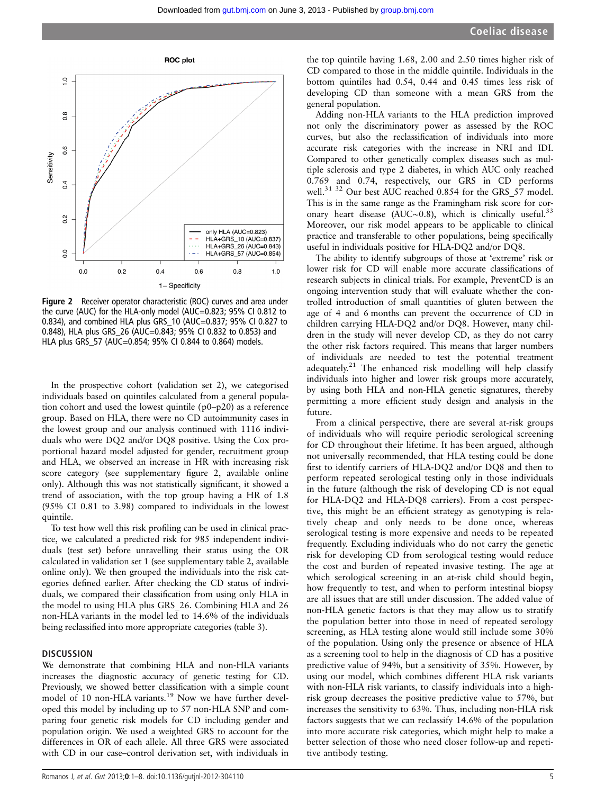

Figure 2 Receiver operator characteristic (ROC) curves and area under the curve (AUC) for the HLA-only model (AUC=0.823; 95% CI 0.812 to 0.834), and combined HLA plus GRS\_10 (AUC=0.837; 95% CI 0.827 to 0.848), HLA plus GRS\_26 (AUC=0.843; 95% CI 0.832 to 0.853) and HLA plus GRS\_57 (AUC=0.854; 95% CI 0.844 to 0.864) models.

In the prospective cohort (validation set 2), we categorised individuals based on quintiles calculated from a general population cohort and used the lowest quintile (p0–p20) as a reference group. Based on HLA, there were no CD autoimmunity cases in the lowest group and our analysis continued with 1116 individuals who were DQ2 and/or DQ8 positive. Using the Cox proportional hazard model adjusted for gender, recruitment group and HLA, we observed an increase in HR with increasing risk score category (see supplementary figure 2, available online only). Although this was not statistically significant, it showed a trend of association, with the top group having a HR of 1.8 (95% CI 0.81 to 3.98) compared to individuals in the lowest quintile.

To test how well this risk profiling can be used in clinical practice, we calculated a predicted risk for 985 independent individuals (test set) before unravelling their status using the OR calculated in validation set 1 (see supplementary table 2, available online only). We then grouped the individuals into the risk categories defined earlier. After checking the CD status of individuals, we compared their classification from using only HLA in the model to using HLA plus GRS\_26. Combining HLA and 26 non-HLA variants in the model led to 14.6% of the individuals being reclassified into more appropriate categories (table 3).

#### **DISCUSSION**

We demonstrate that combining HLA and non-HLA variants increases the diagnostic accuracy of genetic testing for CD. Previously, we showed better classification with a simple count model of 10 non-HLA variants.<sup>19</sup> Now we have further developed this model by including up to 57 non-HLA SNP and comparing four genetic risk models for CD including gender and population origin. We used a weighted GRS to account for the differences in OR of each allele. All three GRS were associated with CD in our case–control derivation set, with individuals in

Adding non-HLA variants to the HLA prediction improved not only the discriminatory power as assessed by the ROC curves, but also the reclassification of individuals into more accurate risk categories with the increase in NRI and IDI. Compared to other genetically complex diseases such as multiple sclerosis and type 2 diabetes, in which AUC only reached 0.769 and 0.74, respectively, our GRS in CD performs well.<sup>31 32</sup> Our best AUC reached 0.854 for the GRS\_57 model. This is in the same range as the Framingham risk score for coronary heart disease (AUC∼0.8), which is clinically useful.<sup>33</sup> Moreover, our risk model appears to be applicable to clinical practice and transferable to other populations, being specifically useful in individuals positive for HLA-DQ2 and/or DQ8.

The ability to identify subgroups of those at 'extreme' risk or lower risk for CD will enable more accurate classifications of research subjects in clinical trials. For example, PreventCD is an ongoing intervention study that will evaluate whether the controlled introduction of small quantities of gluten between the age of 4 and 6 months can prevent the occurrence of CD in children carrying HLA-DQ2 and/or DQ8. However, many children in the study will never develop CD, as they do not carry the other risk factors required. This means that larger numbers of individuals are needed to test the potential treatment adequately.<sup>21</sup> The enhanced risk modelling will help classify individuals into higher and lower risk groups more accurately, by using both HLA and non-HLA genetic signatures, thereby permitting a more efficient study design and analysis in the future.

From a clinical perspective, there are several at-risk groups of individuals who will require periodic serological screening for CD throughout their lifetime. It has been argued, although not universally recommended, that HLA testing could be done first to identify carriers of HLA-DQ2 and/or DQ8 and then to perform repeated serological testing only in those individuals in the future (although the risk of developing CD is not equal for HLA-DQ2 and HLA-DQ8 carriers). From a cost perspective, this might be an efficient strategy as genotyping is relatively cheap and only needs to be done once, whereas serological testing is more expensive and needs to be repeated frequently. Excluding individuals who do not carry the genetic risk for developing CD from serological testing would reduce the cost and burden of repeated invasive testing. The age at which serological screening in an at-risk child should begin, how frequently to test, and when to perform intestinal biopsy are all issues that are still under discussion. The added value of non-HLA genetic factors is that they may allow us to stratify the population better into those in need of repeated serology screening, as HLA testing alone would still include some 30% of the population. Using only the presence or absence of HLA as a screening tool to help in the diagnosis of CD has a positive predictive value of 94%, but a sensitivity of 35%. However, by using our model, which combines different HLA risk variants with non-HLA risk variants, to classify individuals into a highrisk group decreases the positive predictive value to 57%, but increases the sensitivity to 63%. Thus, including non-HLA risk factors suggests that we can reclassify 14.6% of the population into more accurate risk categories, which might help to make a better selection of those who need closer follow-up and repetitive antibody testing.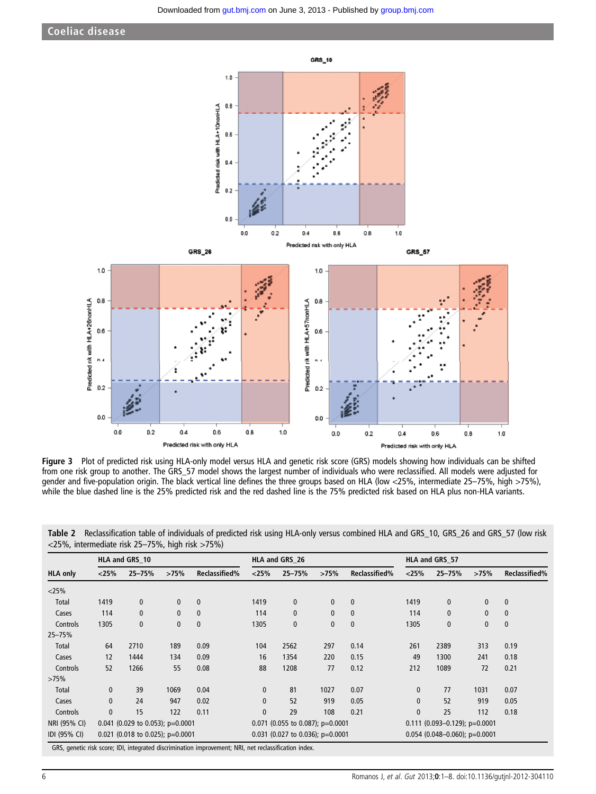

Figure 3 Plot of predicted risk using HLA-only model versus HLA and genetic risk score (GRS) models showing how individuals can be shifted from one risk group to another. The GRS\_57 model shows the largest number of individuals who were reclassified. All models were adjusted for gender and five-population origin. The black vertical line defines the three groups based on HLA (low <25%, intermediate 25–75%, high >75%), while the blue dashed line is the 25% predicted risk and the red dashed line is the 75% predicted risk based on HLA plus non-HLA variants.

|                 | HLA and GRS 10                     |                                  |              |                                  | HLA and GRS 26 |                                  |                                 | HLA and GRS 57 |              |                                 |              |               |
|-----------------|------------------------------------|----------------------------------|--------------|----------------------------------|----------------|----------------------------------|---------------------------------|----------------|--------------|---------------------------------|--------------|---------------|
| <b>HLA only</b> | < 25%                              | $25 - 75%$                       | >75%         | Reclassified%                    | < 25%          | $25 - 75%$                       | >75%                            | Reclassified%  | < 25%        | $25 - 75%$                      | >75%         | Reclassified% |
| $<$ 25%         |                                    |                                  |              |                                  |                |                                  |                                 |                |              |                                 |              |               |
| Total           | 1419                               | $\mathbf 0$                      | $\mathbf{0}$ | $\mathbf{0}$                     | 1419           | 0                                | $\bf{0}$                        | $\mathbf{0}$   | 1419         | $\mathbf{0}$                    | 0            | $\mathbf 0$   |
| Cases           | 114                                | $\mathbf 0$                      | $\mathbf{0}$ | $\mathbf{0}$                     | 114            | 0                                | $\pmb{0}$                       | $\mathbf{0}$   | 114          | $\mathbf{0}$                    | $\mathbf 0$  | $\bf{0}$      |
| Controls        | 1305                               | $\mathbf{0}$                     | $\mathbf{0}$ | $\mathbf{0}$                     | 1305           | 0                                | $\mathbf{0}$                    | $\mathbf{0}$   | 1305         | 0                               | $\mathbf{0}$ | $\mathbf{0}$  |
| 25-75%          |                                    |                                  |              |                                  |                |                                  |                                 |                |              |                                 |              |               |
| Total           | 64                                 | 2710                             | 189          | 0.09                             | 104            | 2562                             | 297                             | 0.14           | 261          | 2389                            | 313          | 0.19          |
| Cases           | 12                                 | 1444                             | 134          | 0.09                             | 16             | 1354                             | 220                             | 0.15           | 49           | 1300                            | 241          | 0.18          |
| Controls        | 52                                 | 1266                             | 55           | 0.08                             | 88             | 1208                             | 77                              | 0.12           | 212          | 1089                            | 72           | 0.21          |
| >75%            |                                    |                                  |              |                                  |                |                                  |                                 |                |              |                                 |              |               |
| Total           | $\mathbf{0}$                       | 39                               | 1069         | 0.04                             | $\mathbf{0}$   | 81                               | 1027                            | 0.07           | $\mathbf{0}$ | 77                              | 1031         | 0.07          |
| Cases           | $\mathbf{0}$                       | 24                               | 947          | 0.02                             | $\mathbf{0}$   | 52                               | 919                             | 0.05           | $\mathbf{0}$ | 52                              | 919          | 0.05          |
| Controls        | $\mathbf{0}$                       | 15                               | 122          | 0.11                             | $\mathbf{0}$   | 29                               | 108                             | 0.21           | $\mathbf{0}$ | 25                              | 112          | 0.18          |
| NRI (95% CI)    |                                    | 0.041 (0.029 to 0.053); p=0.0001 |              |                                  |                | 0.071 (0.055 to 0.087); p=0.0001 |                                 |                |              | $0.111$ (0.093-0.129); p=0.0001 |              |               |
| IDI (95% CI)    | 0.021 (0.018 to 0.025); $p=0.0001$ |                                  |              | 0.031 (0.027 to 0.036); p=0.0001 |                |                                  | $0.054$ (0.048-0.060); p=0.0001 |                |              |                                 |              |               |

Table 2 Reclassification table of individuals of predicted risk using HLA-only versus combined HLA and GRS\_10, GRS\_26 and GRS\_57 (low risk <25%, intermediate risk 25–75%, high risk >75%)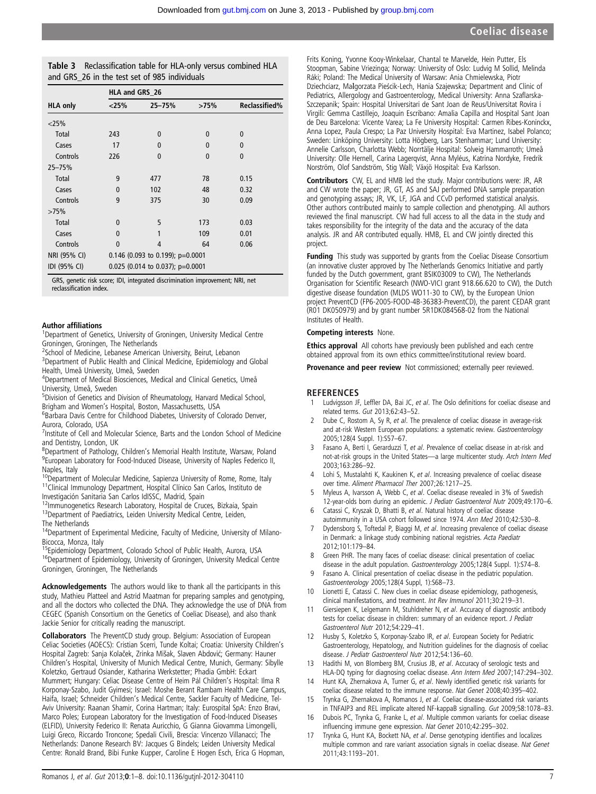| Table 3 Reclassification table for HLA-only versus combined HLA |
|-----------------------------------------------------------------|
| and GRS 26 in the test set of 985 individuals                   |

|                 | HLA and GRS_26 |                                    |              |                      |  |  |  |  |
|-----------------|----------------|------------------------------------|--------------|----------------------|--|--|--|--|
| <b>HLA only</b> | $<$ 25%        | $25 - 75%$                         | >75%         | <b>Reclassified%</b> |  |  |  |  |
| $<$ 25%         |                |                                    |              |                      |  |  |  |  |
| Total           | 243            | $\bf{0}$                           | 0            | $\mathbf{0}$         |  |  |  |  |
| Cases           | 17             | $\bf{0}$                           | 0            | 0                    |  |  |  |  |
| Controls        | 226            | $\Omega$                           | $\mathbf{0}$ | $\mathbf{0}$         |  |  |  |  |
| 25-75%          |                |                                    |              |                      |  |  |  |  |
| Total           | 9              | 477                                | 78           | 0.15                 |  |  |  |  |
| Cases           | $\Omega$       | 102                                | 48           | 0.32                 |  |  |  |  |
| Controls        | 9              | 375                                | 30           | 0.09                 |  |  |  |  |
| >75%            |                |                                    |              |                      |  |  |  |  |
| Total           | $\mathbf{0}$   | 5                                  | 173          | 0.03                 |  |  |  |  |
| Cases           | $\Omega$       | 1                                  | 109          | 0.01                 |  |  |  |  |
| Controls        | $\Omega$       | 4                                  | 64           | 0.06                 |  |  |  |  |
| NRI (95% CI)    |                | 0.146 (0.093 to 0.199); p=0.0001   |              |                      |  |  |  |  |
| IDI (95% CI)    |                | $0.025$ (0.014 to 0.037); p=0.0001 |              |                      |  |  |  |  |

GRS, genetic risk score; IDI, integrated discrimination improvement; NRI, net reclassification index.

#### Author affiliations <sup>1</sup>

<sup>1</sup>Department of Genetics, University of Groningen, University Medical Centre Groningen, Groningen, The Netherlands

<sup>2</sup>School of Medicine, Lebanese American University, Beirut, Lebanon

<sup>3</sup>Department of Public Health and Clinical Medicine, Epidemiology and Global Health, Umeå University, Umeå, Sweden

4 Department of Medical Biosciences, Medical and Clinical Genetics, Umeå University, Umeå, Sweden

<sup>5</sup>Division of Genetics and Division of Rheumatology, Harvard Medical School, Brigham and Women's Hospital, Boston, Massachusetts, USA <sup>6</sup>

<sup>6</sup>Barbara Davis Centre for Childhood Diabetes, University of Colorado Denver, Aurora, Colorado, USA

<sup>7</sup> Institute of Cell and Molecular Science, Barts and the London School of Medicine and Dentistry, London, UK

<sup>8</sup> Department of Pathology, Children's Memorial Health Institute, Warsaw, Poland 9 Purposes Laboratory for Engels University of Naples Enderica II <sup>9</sup>European Laboratory for Food-Induced Disease, University of Naples Federico II, Naples, Italy

 $10$ Department of Molecular Medicine, Sapienza University of Rome, Rome, Italy  $11$ Clinical Immunology Department, Hospital Clínico San Carlos, Instituto de Investigación Sanitaria San Carlos IdISSC, Madrid, Spain<br><sup>12</sup>Immunogenetics Research Laboratory, Hospital de Cruces, Bizkaia, Spain

<sup>13</sup>Department of Paediatrics, Leiden University Medical Centre, Leiden, The Netherlands

<sup>14</sup>Department of Experimental Medicine, Faculty of Medicine, University of Milano-Bicocca, Monza, Italy<br><sup>15</sup>Epidemiology Department, Colorado School of Public Health, Aurora, USA

<sup>16</sup>Department of Epidemiology, University of Groningen, University Medical Centre Groningen, Groningen, The Netherlands

Acknowledgements The authors would like to thank all the participants in this study, Mathieu Platteel and Astrid Maatman for preparing samples and genotyping, and all the doctors who collected the DNA. They acknowledge the use of DNA from CEGEC (Spanish Consortium on the Genetics of Coeliac Disease), and also thank Jackie Senior for critically reading the manuscript.

Collaborators The PreventCD study group. Belgium: Association of European Celiac Societies (AOECS): Cristian Scerri, Tunde Koltai; Croatia: University Children's Hospital Zagreb: Sanja Kolaček, Zrinka Mišak, Slaven Abdović; Germany: Hauner Children's Hospital, University of Munich Medical Centre, Munich, Germany: Sibylle Koletzko, Gertraud Osiander, Katharina Werkstetter; Phadia GmbH: Eckart Mummert; Hungary: Celiac Disease Centre of Heim Pál Children's Hospital: Ilma R Korponay-Szabo, Judit Gyimesi; Israel: Moshe Berant Rambam Health Care Campus, Haifa, Israel; Schneider Children's Medical Centre, Sackler Faculty of Medicine, Tel-Aviv University: Raanan Shamir, Corina Hartman; Italy: Eurospital SpA: Enzo Bravi, Marco Poles; European Laboratory for the Investigation of Food-Induced Diseases (ELFID), University Federico II: Renata Auricchio, G Gianna Giovamma Limongelli, Luigi Greco, Riccardo Troncone; Spedali Civili, Brescia: Vincenzo Villanacci; The Netherlands: Danone Research BV: Jacques G Bindels; Leiden University Medical Centre: Ronald Brand, Bibi Funke Kupper, Caroline E Hogen Esch, Erica G Hopman,

Frits Koning, Yvonne Kooy-Winkelaar, Chantal te Marvelde, Hein Putter, Els Stoopman, Sabine Vriezinga; Norway: University of Oslo: Ludvig M Sollid, Melinda Ráki; Poland: The Medical University of Warsaw: Ania Chmielewska, Piotr Dziechciarz, Malgorzata Pieścik-Lech, Hania Szajewska; Department and Clinic of Pediatrics, Allergology and Gastroenterology, Medical University: Anna Szaflarska-Szczepanik; Spain: Hospital Universitari de Sant Joan de Reus/Universitat Rovira i Virgili: Gemma Castillejo, Joaquin Escribano: Amalia Capilla and Hospital Sant Joan de Deu Barcelona: Vicente Varea; La Fe University Hospital: Carmen Ribes-Koninckx, Anna Lopez, Paula Crespo; La Paz University Hospital: Eva Martinez, Isabel Polanco; Sweden: Linköping University: Lotta Högberg, Lars Stenhammar; Lund University: Annelie Carlsson, Charlotta Webb; Norrtälje Hospital: Solveig Hammarroth; Umeå University: Olle Hernell, Carina Lagerqvist, Anna Myléus, Katrina Nordyke, Fredrik Norström, Olof Sandström, Stig Wall; Växjö Hospital: Eva Karlsson.

Contributors CW, EL and HMB led the study. Major contributions were: JR, AR and CW wrote the paper; JR, GT, AS and SAJ performed DNA sample preparation and genotyping assays; JR, VK, LF, JGA and CCvD performed statistical analysis. Other authors contributed mainly to sample collection and phenotyping. All authors reviewed the final manuscript. CW had full access to all the data in the study and takes responsibility for the integrity of the data and the accuracy of the data analysis. JR and AR contributed equally. HMB, EL and CW jointly directed this project.

Funding This study was supported by grants from the Coeliac Disease Consortium (an innovative cluster approved by The Netherlands Genomics Initiative and partly funded by the Dutch government, grant BSIK03009 to CW), The Netherlands Organisation for Scientific Research (NWO-VICI grant 918.66.620 to CW), the Dutch digestive disease foundation (MLDS WO11-30 to CW), by the European Union project PreventCD (FP6-2005-FOOD-4B-36383-PreventCD), the parent CEDAR grant (R01 DK050979) and by grant number 5R1DK084568-02 from the National Institutes of Health.

#### Competing interests None.

**Ethics approval** All cohorts have previously been published and each centre obtained approval from its own ethics committee/institutional review board.

Provenance and peer review Not commissioned; externally peer reviewed.

#### **REFERENCES**

- 1 Ludvigsson JF, Leffler DA, Bai JC, et al. The Oslo definitions for coeliac disease and related terms. Gut 2013;62:43–52.
- Dube C, Rostom A, Sy R, et al. The prevalence of coeliac disease in average-risk and at-risk Western European populations: a systematic review. Gastroenterology 2005;128(4 Suppl. 1):S57–67.
- Fasano A, Berti I, Gerarduzzi T, et al. Prevalence of coeliac disease in at-risk and not-at-risk groups in the United States—a large multicenter study. Arch Intern Med 2003;163:286–92.
- Lohi S, Mustalahti K, Kaukinen K, et al. Increasing prevalence of coeliac disease over time. Aliment Pharmacol Ther 2007;26:1217–25.
- Myleus A, Ivarsson A, Webb C, et al. Coeliac disease revealed in 3% of Swedish 12-year-olds born during an epidemic. J Pediatr Gastroenterol Nutr 2009;49:170–6.
- 6 Catassi C, Kryszak D, Bhatti B, et al. Natural history of coeliac disease autoimmunity in a USA cohort followed since 1974. Ann Med 2010;42:530–8.
- Dydensborg S, Toftedal P, Biaggi M, et al. Increasing prevalence of coeliac disease in Denmark: a linkage study combining national registries. Acta Paediatr 2012;101:179–84.
- Green PHR. The many faces of coeliac disease: clinical presentation of coeliac disease in the adult population. Gastroenterology 2005;128(4 Suppl. 1):S74–8.
- 9 Fasano A. Clinical presentation of coeliac disease in the pediatric population. Gastroenterology 2005;128(4 Suppl, 1):S68–73.
- 10 Lionetti E, Catassi C. New clues in coeliac disease epidemiology, pathogenesis, clinical manifestations, and treatment. Int Rev Immunol 2011;30:219–31.
- 11 Giersiepen K, Lelgemann M, Stuhldreher N, et al. Accuracy of diagnostic antibody tests for coeliac disease in children: summary of an evidence report. J Pediatr Gastroenterol Nutr 2012;54:229–41.
- 12 Husby S, Koletzko S, Korponay-Szabo IR, et al. European Society for Pediatric Gastroenterology, Hepatology, and Nutrition guidelines for the diagnosis of coeliac disease. J Pediatr Gastroenterol Nutr 2012;54:136–60.
- Hadithi M, von Blomberg BM, Crusius JB, et al. Accuracy of serologic tests and HLA-DQ typing for diagnosing coeliac disease. Ann Intern Med 2007;147:294–302.
- 14 Hunt KA, Zhernakova A, Turner G, et al. Newly identified genetic risk variants for coeliac disease related to the immune response. Nat Genet 2008;40:395–402.
- 15 Trynka G, Zhernakova A, Romanos J, et al. Coeliac disease-associated risk variants in TNFAIP3 and REL implicate altered NF-kappaB signalling. Gut 2009;58:1078–83.
- 16 Dubois PC, Trynka G, Franke L, et al. Multiple common variants for coeliac disease influencing immune gene expression. Nat Genet 2010;42:295–302.
- 17 Trynka G, Hunt KA, Bockett NA, et al. Dense genotyping identifies and localizes multiple common and rare variant association signals in coeliac disease. Nat Genet 2011;43:1193–201.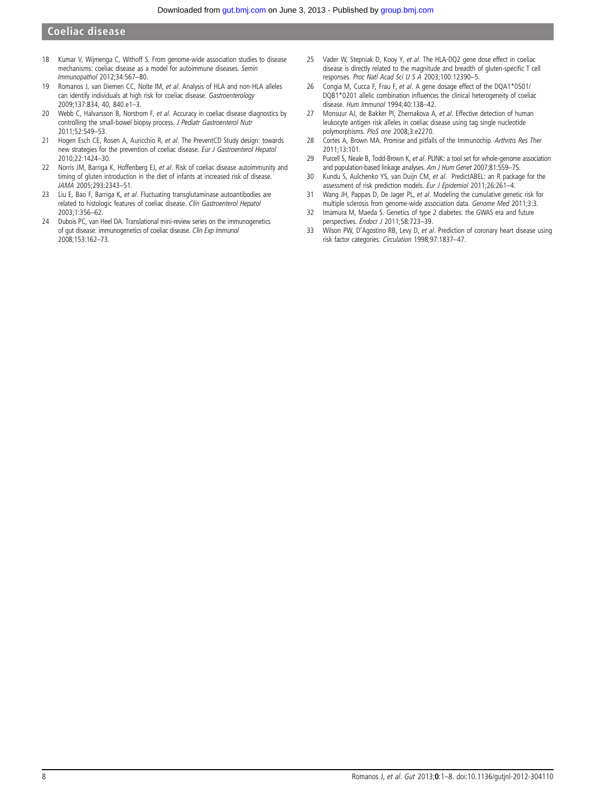- 18 Kumar V, Wijmenga C, Withoff S. From genome-wide association studies to disease mechanisms: coeliac disease as a model for autoimmune diseases. Semin Immunopathol 2012;34:567–80.
- 19 Romanos J, van Diemen CC, Nolte IM, et al. Analysis of HLA and non-HLA alleles can identify individuals at high risk for coeliac disease. Gastroenterology 2009;137:834, 40, 840.e1–3.
- 20 Webb C, Halvarsson B, Norstrom F, et al. Accuracy in coeliac disease diagnostics by controlling the small-bowel biopsy process. J Pediatr Gastroenterol Nutr 2011;52:549–53.
- 21 Hogen Esch CE, Rosen A, Auricchio R, et al. The PreventCD Study design: towards new strategies for the prevention of coeliac disease. Eur J Gastroenterol Hepatol 2010;22:1424–30.
- 22 Norris JM, Barriga K, Hoffenberg EJ, et al. Risk of coeliac disease autoimmunity and timing of gluten introduction in the diet of infants at increased risk of disease. JAMA 2005;293:2343–51.
- 23 Liu E, Bao F, Barriga K, et al. Fluctuating transglutaminase autoantibodies are related to histologic features of coeliac disease. Clin Gastroenterol Hepatol 2003;1:356–62.
- 24 Dubois PC, van Heel DA. Translational mini-review series on the immunogenetics of gut disease: immunogenetics of coeliac disease. Clin Exp Immunol 2008;153:162–73.
- 25 Vader W, Stepniak D, Kooy Y, et al. The HLA-DQ2 gene dose effect in coeliac disease is directly related to the magnitude and breadth of gluten-specific T cell responses. Proc Natl Acad Sci U S A 2003;100:12390–5.
- 26 Congia M, Cucca F, Frau F, et al. A gene dosage effect of the DQA1\*0501/ DQB1\*0201 allelic combination influences the clinical heterogeneity of coeliac disease. Hum Immunol 1994;40:138–42.
- 27 Monsuur AJ, de Bakker PI, Zhernakova A, et al. Effective detection of human leukocyte antigen risk alleles in coeliac disease using tag single nucleotide polymorphisms. PloS one 2008;3:e2270.
- 28 Cortes A, Brown MA. Promise and pitfalls of the Immunochip. Arthritis Res Ther 2011;13:101.
- 29 Purcell S, Neale B, Todd-Brown K, et al. PLINK: a tool set for whole-genome association and population-based linkage analyses. Am J Hum Genet 2007;81:559-75.
- 30 Kundu S, Aulchenko YS, van Duijn CM, et al. PredictABEL: an R package for the assessment of risk prediction models. Eur J Epidemiol 2011;26:261–4.
- 31 Wang JH, Pappas D, De Jager PL, et al. Modeling the cumulative genetic risk for multiple sclerosis from genome-wide association data. Genome Med 2011;3:3.
- 32 Imamura M, Maeda S. Genetics of type 2 diabetes: the GWAS era and future perspectives. Endocr J 2011;58:723-39.
- 33 Wilson PW, D'Agostino RB, Levy D, et al. Prediction of coronary heart disease using risk factor categories. Circulation 1998;97:1837–47.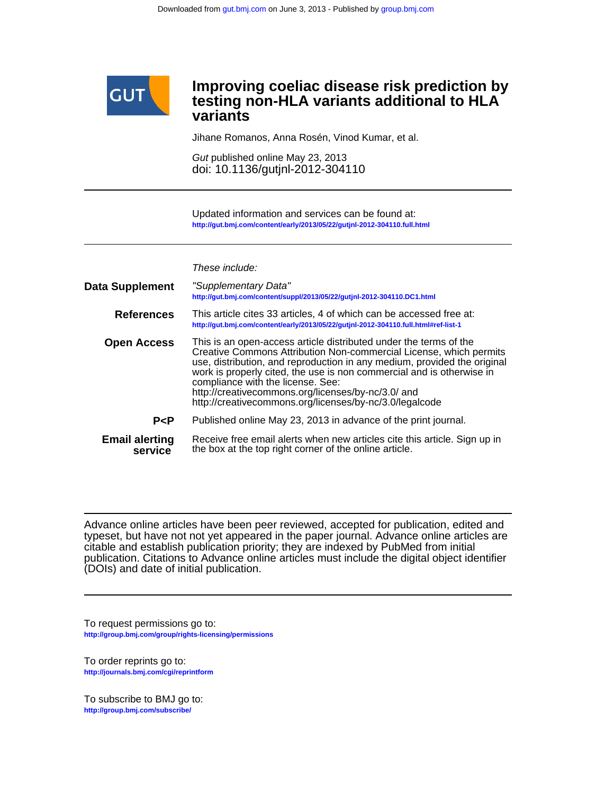

## **variants testing non-HLA variants additional to HLA Improving coeliac disease risk prediction by**

Jihane Romanos, Anna Rosén, Vinod Kumar, et al.

doi: 10.1136/gutjnl-2012-304110 Gut published online May 23, 2013

**<http://gut.bmj.com/content/early/2013/05/22/gutjnl-2012-304110.full.html>** Updated information and services can be found at:

These include:

| <b>Data Supplement</b>           | "Supplementary Data"<br>http://gut.bmj.com/content/suppl/2013/05/22/gutjnl-2012-304110.DC1.html                                                                                                                                                                                                                                                                                                                                                    |
|----------------------------------|----------------------------------------------------------------------------------------------------------------------------------------------------------------------------------------------------------------------------------------------------------------------------------------------------------------------------------------------------------------------------------------------------------------------------------------------------|
| <b>References</b>                | This article cites 33 articles, 4 of which can be accessed free at:<br>http://qut.bmj.com/content/early/2013/05/22/qutjnl-2012-304110.full.html#ref-list-1                                                                                                                                                                                                                                                                                         |
| <b>Open Access</b>               | This is an open-access article distributed under the terms of the<br>Creative Commons Attribution Non-commercial License, which permits<br>use, distribution, and reproduction in any medium, provided the original<br>work is properly cited, the use is non commercial and is otherwise in<br>compliance with the license. See:<br>http://creativecommons.org/licenses/by-nc/3.0/ and<br>http://creativecommons.org/licenses/by-nc/3.0/legalcode |
| P < P                            | Published online May 23, 2013 in advance of the print journal.                                                                                                                                                                                                                                                                                                                                                                                     |
| <b>Email alerting</b><br>service | Receive free email alerts when new articles cite this article. Sign up in<br>the box at the top right corner of the online article.                                                                                                                                                                                                                                                                                                                |

(DOIs) and date of initial publication. publication. Citations to Advance online articles must include the digital object identifier citable and establish publication priority; they are indexed by PubMed from initial typeset, but have not not yet appeared in the paper journal. Advance online articles are Advance online articles have been peer reviewed, accepted for publication, edited and

**<http://group.bmj.com/group/rights-licensing/permissions>** To request permissions go to:

**<http://journals.bmj.com/cgi/reprintform>** To order reprints go to:

**<http://group.bmj.com/subscribe/>** To subscribe to BMJ go to: